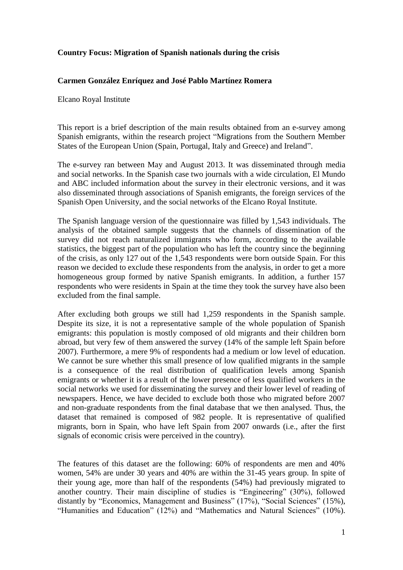### **Country Focus: Migration of Spanish nationals during the crisis**

#### **Carmen González Enríquez and José Pablo Martínez Romera**

Elcano Royal Institute

This report is a brief description of the main results obtained from an e-survey among Spanish emigrants, within the research project "Migrations from the Southern Member States of the European Union (Spain, Portugal, Italy and Greece) and Ireland".

The e-survey ran between May and August 2013. It was disseminated through media and social networks. In the Spanish case two journals with a wide circulation, El Mundo and ABC included information about the survey in their electronic versions, and it was also disseminated through associations of Spanish emigrants, the foreign services of the Spanish Open University, and the social networks of the Elcano Royal Institute.

The Spanish language version of the questionnaire was filled by 1,543 individuals. The analysis of the obtained sample suggests that the channels of dissemination of the survey did not reach naturalized immigrants who form, according to the available statistics, the biggest part of the population who has left the country since the beginning of the crisis, as only 127 out of the 1,543 respondents were born outside Spain. For this reason we decided to exclude these respondents from the analysis, in order to get a more homogeneous group formed by native Spanish emigrants. In addition, a further 157 respondents who were residents in Spain at the time they took the survey have also been excluded from the final sample.

After excluding both groups we still had 1,259 respondents in the Spanish sample. Despite its size, it is not a representative sample of the whole population of Spanish emigrants: this population is mostly composed of old migrants and their children born abroad, but very few of them answered the survey (14% of the sample left Spain before 2007). Furthermore, a mere 9% of respondents had a medium or low level of education. We cannot be sure whether this small presence of low qualified migrants in the sample is a consequence of the real distribution of qualification levels among Spanish emigrants or whether it is a result of the lower presence of less qualified workers in the social networks we used for disseminating the survey and their lower level of reading of newspapers. Hence, we have decided to exclude both those who migrated before 2007 and non-graduate respondents from the final database that we then analysed. Thus, the dataset that remained is composed of 982 people. It is representative of qualified migrants, born in Spain, who have left Spain from 2007 onwards (i.e., after the first signals of economic crisis were perceived in the country).

The features of this dataset are the following: 60% of respondents are men and 40% women, 54% are under 30 years and 40% are within the 31-45 years group. In spite of their young age, more than half of the respondents (54%) had previously migrated to another country. Their main discipline of studies is "Engineering" (30%), followed distantly by "Economics, Management and Business" (17%), "Social Sciences" (15%), "Humanities and Education" (12%) and "Mathematics and Natural Sciences" (10%).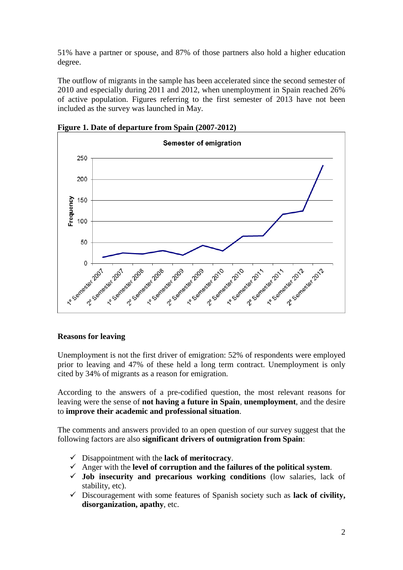51% have a partner or spouse, and 87% of those partners also hold a higher education degree.

The outflow of migrants in the sample has been accelerated since the second semester of 2010 and especially during 2011 and 2012, when unemployment in Spain reached 26% of active population. Figures referring to the first semester of 2013 have not been included as the survey was launched in May.



**Figure 1. Date of departure from Spain (2007-2012)**

# **Reasons for leaving**

Unemployment is not the first driver of emigration: 52% of respondents were employed prior to leaving and 47% of these held a long term contract. Unemployment is only cited by 34% of migrants as a reason for emigration.

According to the answers of a pre-codified question, the most relevant reasons for leaving were the sense of **not having a future in Spain**, **unemployment**, and the desire to **improve their academic and professional situation**.

The comments and answers provided to an open question of our survey suggest that the following factors are also **significant drivers of outmigration from Spain**:

- Disappointment with the **lack of meritocracy**.
- Anger with the **level of corruption and the failures of the political system**.
- **Job insecurity and precarious working conditions** (low salaries, lack of stability, etc).
- Discouragement with some features of Spanish society such as **lack of civility, disorganization, apathy**, etc.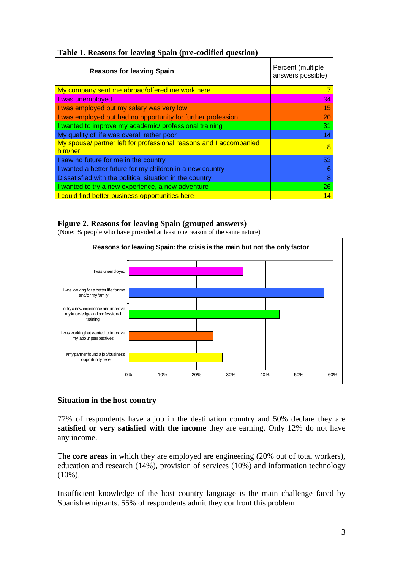| <b>Reasons for leaving Spain</b>                                              | Percent (multiple<br>answers possible) |
|-------------------------------------------------------------------------------|----------------------------------------|
| My company sent me abroad/offered me work here                                | 7                                      |
| I was unemployed                                                              | 34                                     |
| I was employed but my salary was very low                                     | 15 <sub>1</sub>                        |
| I was employed but had no opportunity for further profession                  | 20                                     |
| I wanted to improve my academic/ professional training                        | 31                                     |
| My quality of life was overall rather poor                                    | 14                                     |
| My spouse/ partner left for professional reasons and I accompanied<br>him/her | 8                                      |
| I saw no future for me in the country                                         | 53                                     |
| I wanted a better future for my children in a new country                     | 6                                      |
| Dissatisfied with the political situation in the country                      | 8                                      |
| wanted to try a new experience, a new adventure                               | 26                                     |
| I could find better business opportunities here                               | 14                                     |

### **Figure 2. Reasons for leaving Spain (grouped answers)**

(Note: % people who have provided at least one reason of the same nature)



# **Situation in the host country**

77% of respondents have a job in the destination country and 50% declare they are **satisfied or very satisfied with the income** they are earning. Only 12% do not have any income.

The **core areas** in which they are employed are engineering (20% out of total workers), education and research (14%), provision of services (10%) and information technology  $(10\%)$ .

Insufficient knowledge of the host country language is the main challenge faced by Spanish emigrants. 55% of respondents admit they confront this problem.